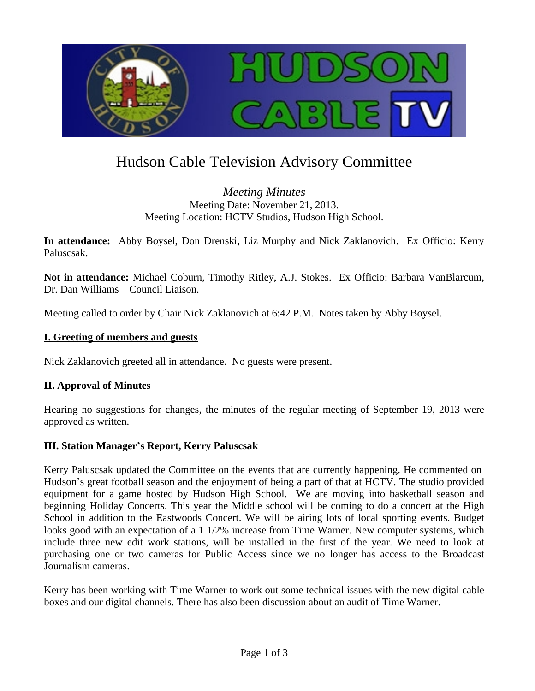

# Hudson Cable Television Advisory Committee

### *Meeting Minutes* Meeting Date: November 21, 2013. Meeting Location: HCTV Studios, Hudson High School.

**In attendance:** Abby Boysel, Don Drenski, Liz Murphy and Nick Zaklanovich. Ex Officio: Kerry Paluscsak.

**Not in attendance:** Michael Coburn, Timothy Ritley, A.J. Stokes. Ex Officio: Barbara VanBlarcum, Dr. Dan Williams – Council Liaison.

Meeting called to order by Chair Nick Zaklanovich at 6:42 P.M. Notes taken by Abby Boysel.

#### **I. Greeting of members and guests**

Nick Zaklanovich greeted all in attendance. No guests were present.

#### **II. Approval of Minutes**

Hearing no suggestions for changes, the minutes of the regular meeting of September 19, 2013 were approved as written.

#### **III. Station Manager's Report, Kerry Paluscsak**

Kerry Paluscsak updated the Committee on the events that are currently happening. He commented on Hudson's great football season and the enjoyment of being a part of that at HCTV. The studio provided equipment for a game hosted by Hudson High School. We are moving into basketball season and beginning Holiday Concerts. This year the Middle school will be coming to do a concert at the High School in addition to the Eastwoods Concert. We will be airing lots of local sporting events. Budget looks good with an expectation of a 1 1/2% increase from Time Warner. New computer systems, which include three new edit work stations, will be installed in the first of the year. We need to look at purchasing one or two cameras for Public Access since we no longer has access to the Broadcast Journalism cameras.

Kerry has been working with Time Warner to work out some technical issues with the new digital cable boxes and our digital channels. There has also been discussion about an audit of Time Warner.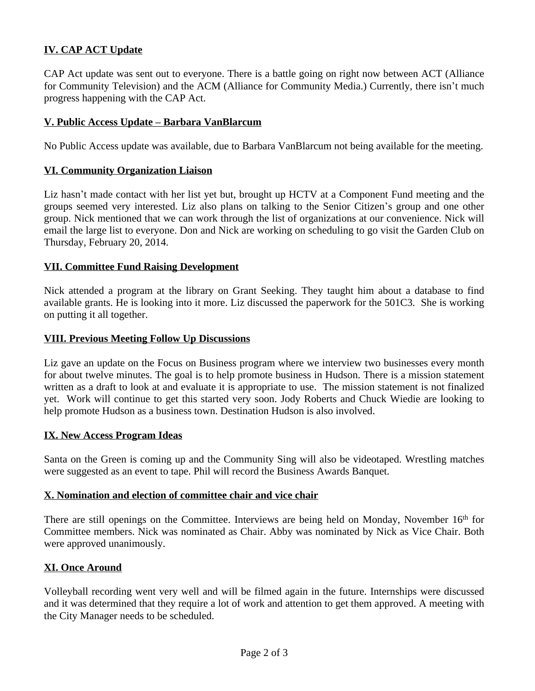# **IV. CAP ACT Update**

CAP Act update was sent out to everyone. There is a battle going on right now between ACT (Alliance for Community Television) and the ACM (Alliance for Community Media.) Currently, there isn't much progress happening with the CAP Act.

#### **V. Public Access Update – Barbara VanBlarcum**

No Public Access update was available, due to Barbara VanBlarcum not being available for the meeting.

#### **VI. Community Organization Liaison**

Liz hasn't made contact with her list yet but, brought up HCTV at a Component Fund meeting and the groups seemed very interested. Liz also plans on talking to the Senior Citizen's group and one other group. Nick mentioned that we can work through the list of organizations at our convenience. Nick will email the large list to everyone. Don and Nick are working on scheduling to go visit the Garden Club on Thursday, February 20, 2014.

#### **VII. Committee Fund Raising Development**

Nick attended a program at the library on Grant Seeking. They taught him about a database to find available grants. He is looking into it more. Liz discussed the paperwork for the 501C3. She is working on putting it all together.

#### **VIII. Previous Meeting Follow Up Discussions**

Liz gave an update on the Focus on Business program where we interview two businesses every month for about twelve minutes. The goal is to help promote business in Hudson. There is a mission statement written as a draft to look at and evaluate it is appropriate to use. The mission statement is not finalized yet. Work will continue to get this started very soon. Jody Roberts and Chuck Wiedie are looking to help promote Hudson as a business town. Destination Hudson is also involved.

#### **IX. New Access Program Ideas**

Santa on the Green is coming up and the Community Sing will also be videotaped. Wrestling matches were suggested as an event to tape. Phil will record the Business Awards Banquet.

#### **X. Nomination and election of committee chair and vice chair**

There are still openings on the Committee. Interviews are being held on Monday, November 16<sup>th</sup> for Committee members. Nick was nominated as Chair. Abby was nominated by Nick as Vice Chair. Both were approved unanimously.

#### **XI. Once Around**

Volleyball recording went very well and will be filmed again in the future. Internships were discussed and it was determined that they require a lot of work and attention to get them approved. A meeting with the City Manager needs to be scheduled.